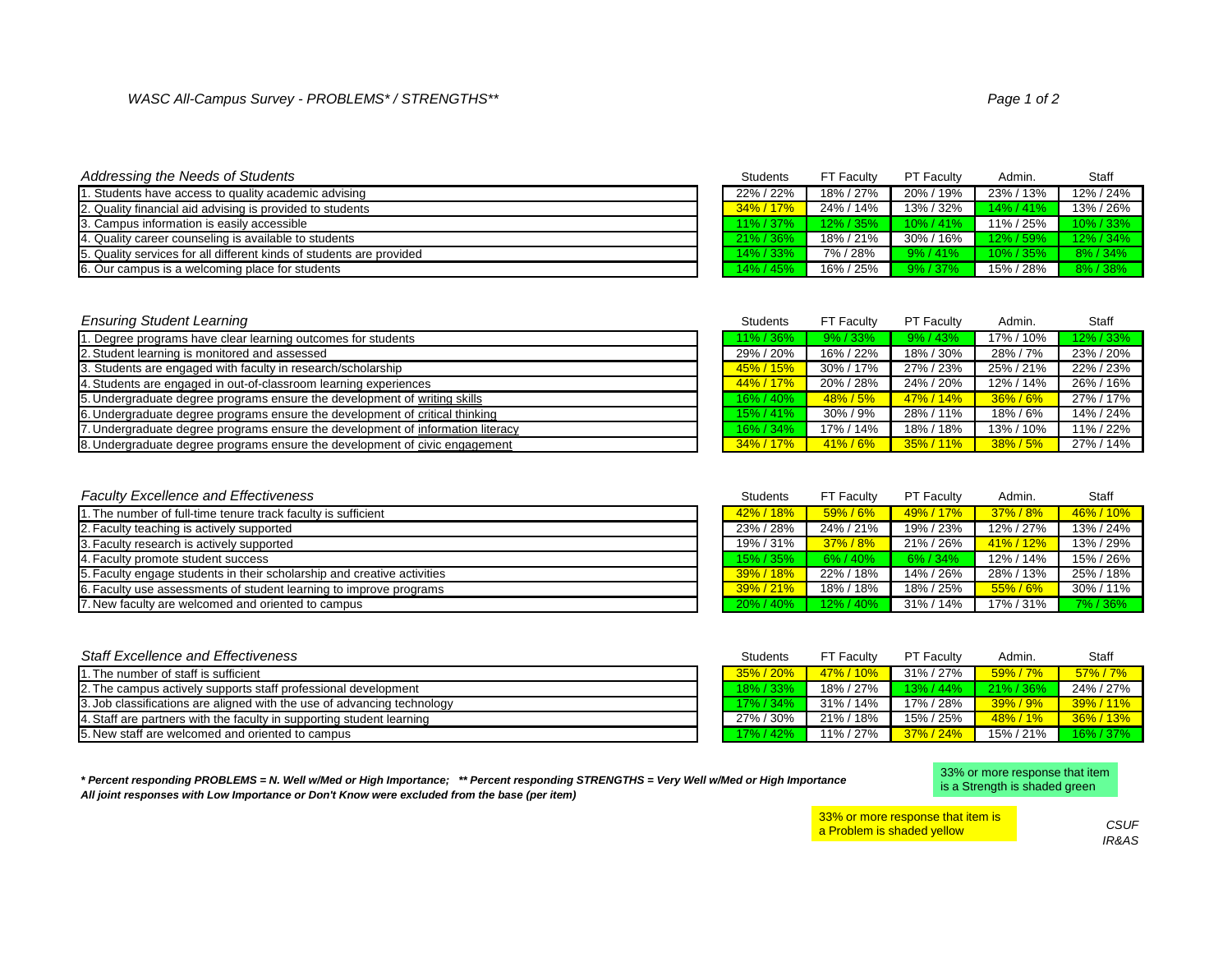| <b>Addressing the Needs of Students</b>                              | <b>Students</b>    | <b>FT Faculty</b> | <b>PT Faculty</b> | Admin.       | <b>Staff</b> |
|----------------------------------------------------------------------|--------------------|-------------------|-------------------|--------------|--------------|
| . Students have access to quality academic advising                  | 22% / 22%          | 18% / 27%         | 20% / 19%         | 23% / 13%    | 12% / 24%    |
| 2. Quality financial aid advising is provided to students            | 34% / 17%          | 24% / 14%         | 13% / 32%         | $14\%$ / 41% | 13% / 26%    |
| 3. Campus information is easily accessible                           | $11\% / 37\%$      | $12\% / 35\%$     | $10\% / 41\%$     | 11% / 25%    | 10% / 33%    |
| 4. Quality career counseling is available to students                | $\sqrt{21\%}/36\%$ | 18% / 21%         | 30% / 16%         | 12% / 59%    | 12% / 34%    |
| 5. Quality services for all different kinds of students are provided | $14\% / 33\%$      | 7%/28%            | $9\% / 41\%$      | $10\%$ / 35% | 8% / 34%     |
| 6. Our campus is a welcoming place for students                      | $14\% / 45\%$      | 16% / 25%         | $9\% / 37\%$      | 15% / 28%    | 8%/38%       |

| <b>Ensuring Student Learning</b>                                                | <b>Students</b> | <b>FT Faculty</b> | <b>PT Faculty</b> | Admin.       | Staff     |
|---------------------------------------------------------------------------------|-----------------|-------------------|-------------------|--------------|-----------|
| . Degree programs have clear learning outcomes for students                     | 11% / 36%       | 9%/33%            | 9% / 43%          | 17% / 10%    | 12% / 33% |
| 2. Student learning is monitored and assessed                                   | 29% / 20%       | 16% / 22%         | 18% / 30%         | 28% / 7%     | 23% / 20% |
| 3. Students are engaged with faculty in research/scholarship                    | 45% / 15%       | 30% / 17%         | 27% / 23%         | 25% / 21%    | 22%/23%   |
| 4. Students are engaged in out-of-classroom learning experiences                | 44% / 17%       | 20% / 28%         | 24% / 20%         | 12% / 14%    | 26% / 16% |
| 5. Undergraduate degree programs ensure the development of writing skills       | 16% / 40%       | 48% / 5%          | 47% / 14%         | $36\% / 6\%$ | 27% / 17% |
| 6. Undergraduate degree programs ensure the development of critical thinking    | 15% / 41%       | $30\% / 9\%$      | 28% / 11%         | 18% / 6%     | 14% / 24% |
| 7. Undergraduate degree programs ensure the development of information literacy | 16% / 34%       | 17% / 14%         | 18% / 18%         | 13% / 10%    | 11% / 22% |
| 8. Undergraduate degree programs ensure the development of civic engagement     | 34% / 17%       | $41\% / 6\%$      | 35%/11%           | $38\% / 5\%$ | 27% / 14% |

| <b>Faculty Excellence and Effectiveness</b>                             | <b>Students</b>      | <b>FT Faculty</b> | <b>PT Faculty</b> | Admin.       | Staff     |
|-------------------------------------------------------------------------|----------------------|-------------------|-------------------|--------------|-----------|
| 1. The number of full-time tenure track faculty is sufficient           | 42%/18%              | 59%/6%            | 49% / 17%         | 37% / 8%     | 46% / 10% |
| 2. Faculty teaching is actively supported                               | 23%/28%              | 24% / 21%         | 19% / 23%         | 12% / 27%    | 13% / 24% |
| 3. Faculty research is actively supported                               | 19% / 31%            | $37\% / 8\%$      | 21% / 26%         | 41% / 12%    | 13% / 29% |
| 4. Faculty promote student success                                      | 15% / 35%            | $6\% / 40\%$      | $6\% / 34\%$      | 12% / 14%    | 15% / 26% |
| 5. Faculty engage students in their scholarship and creative activities | $\sqrt{39\% / 18\%}$ | 22% / 18%         | 14% / 26%         | 28% / 13%    | 25% / 18% |
| 6. Faculty use assessments of student learning to improve programs      | $\sqrt{39\% / 21\%}$ | 18% / 18%         | 18% / 25%         | $55\% / 6\%$ | 30% / 11% |
| 7. New faculty are welcomed and oriented to campus                      | 20% / 40%            | $12\% / 40\%$     | 31% / 14%         | 17% / 31%    | 7%/36%    |

| <b>Staff Excellence and Effectiveness</b>                               | <b>Students</b> | <b>FT Faculty</b>      | <b>PT Faculty</b> | Admin.       | <b>Staff</b>  |
|-------------------------------------------------------------------------|-----------------|------------------------|-------------------|--------------|---------------|
| 1. The number of staff is sufficient                                    | $35\%$ / 20%    | <mark>47% / 10%</mark> | 31% / 27%         | $59\%$ / 7%  | $57\% / 7\%$  |
| 2. The campus actively supports staff professional development          | 18% / 33%       | 18% / 27%              | $13\% / 44\%$     | $21\%$ / 36% | 24% / 27%     |
| 3. Job classifications are aligned with the use of advancing technology | $17\%$ / 34%    | 31% / 14%              | 17% / 28%         | $39\% / 9\%$ | 39%/11%       |
| 4. Staff are partners with the faculty in supporting student learning   | 27% / 30%       | 21% / 18%              | 15% / 25%         | 48% / 1%     | $36\%$ / 13%  |
| 5. New staff are welcomed and oriented to campus                        | 17% / 42%       | 11% / 27%              | 37% / 24%         | 15% / 21%    | $16\% / 37\%$ |



*\* Percent responding PROBLEMS = N. Well w/Med or High Importance; \*\* Percent responding STRENGTHS = Very Well w/Med or High Importance All joint responses with Low Importance or Don't Know were excluded from the base (per item)*

33% or more response that item is a Strength is shaded green

33% or more response that item is a Problem is shaded yellow